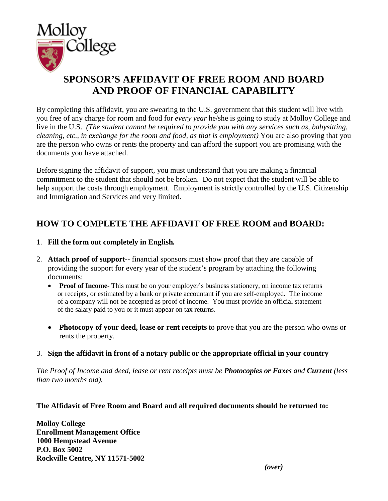

## **SPONSOR'S AFFIDAVIT OF FREE ROOM AND BOARD AND PROOF OF FINANCIAL CAPABILITY**

By completing this affidavit, you are swearing to the U.S. government that this student will live with you free of any charge for room and food for *every year* he/she is going to study at Molloy College and live in the U.S. *(The student cannot be required to provide you with any services such as, babysitting, cleaning, etc., in exchange for the room and food, as that is employment)* You are also proving that you are the person who owns or rents the property and can afford the support you are promising with the documents you have attached.

Before signing the affidavit of support, you must understand that you are making a financial commitment to the student that should not be broken. Do not expect that the student will be able to help support the costs through employment. Employment is strictly controlled by the U.S. Citizenship and Immigration and Services and very limited.

## **HOW TO COMPLETE THE AFFIDAVIT OF FREE ROOM and BOARD:**

- 1. **Fill the form out completely in English***.*
- 2. **Attach proof of support**-- financial sponsors must show proof that they are capable of providing the support for every year of the student's program by attaching the following documents:
	- **Proof of Income**-This must be on your employer's business stationery, on income tax returns or receipts, or estimated by a bank or private accountant if you are self-employed. The income of a company will not be accepted as proof of income. You must provide an official statement of the salary paid to you or it must appear on tax returns.
	- **Photocopy of your deed, lease or rent receipts** to prove that you are the person who owns or rents the property.
- 3. **Sign the affidavit in front of a notary public or the appropriate official in your country**

*The Proof of Income and deed, lease or rent receipts must be Photocopies or Faxes and Current (less than two months old).*

## **The Affidavit of Free Room and Board and all required documents should be returned to:**

**Molloy College Enrollment Management Office 1000 Hempstead Avenue P.O. Box 5002 Rockville Centre, NY 11571-5002**